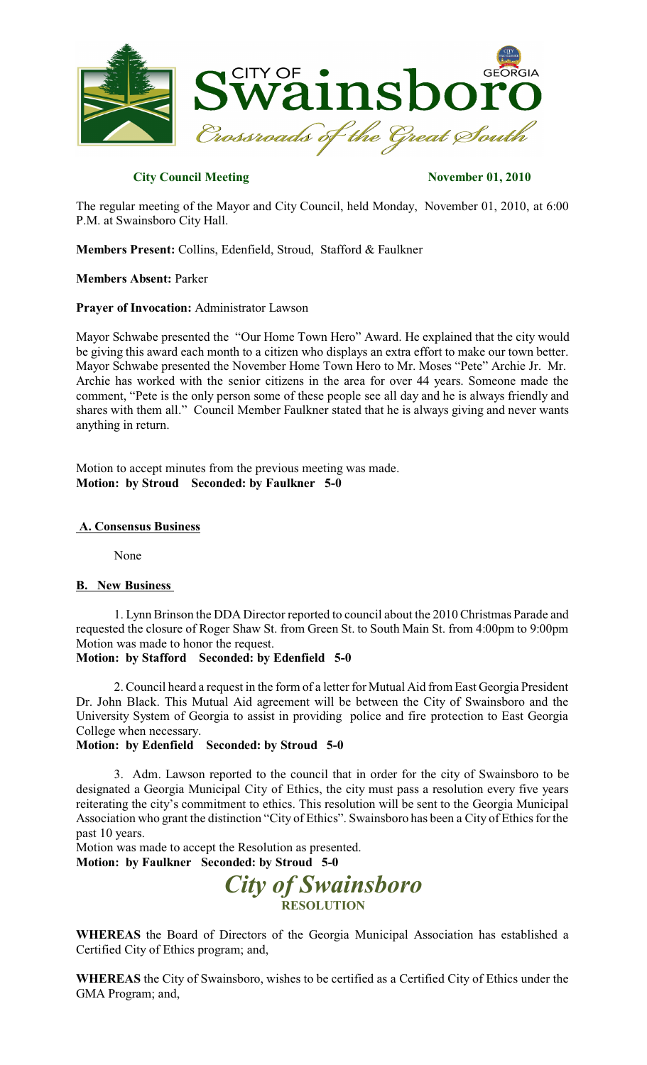

# **City Council Meeting November 01, 2010**

The regular meeting of the Mayor and City Council, held Monday, November 01, 2010, at 6:00 P.M. at Swainsboro City Hall.

**Members Present:** Collins, Edenfield, Stroud, Stafford & Faulkner

**Members Absent:** Parker

**Prayer of Invocation:** Administrator Lawson

Mayor Schwabe presented the "Our Home Town Hero" Award. He explained that the city would be giving this award each month to a citizen who displays an extra effort to make our town better. Mayor Schwabe presented the November Home Town Hero to Mr. Moses "Pete" Archie Jr. Mr. Archie has worked with the senior citizens in the area for over 44 years. Someone made the comment, "Pete is the only person some of these people see all day and he is always friendly and shares with them all." Council Member Faulkner stated that he is always giving and never wants anything in return.

Motion to accept minutes from the previous meeting was made. **Motion: by Stroud Seconded: by Faulkner 5-0**

#### **A. Consensus Business**

None

# **B. New Business**

1. Lynn Brinson the DDA Director reported to council about the 2010 Christmas Parade and requested the closure of Roger Shaw St. from Green St. to South Main St. from 4:00pm to 9:00pm Motion was made to honor the request.

### **Motion: by Stafford Seconded: by Edenfield 5-0**

2. Council heard a request in the form of a letter for Mutual Aid from East Georgia President Dr. John Black. This Mutual Aid agreement will be between the City of Swainsboro and the University System of Georgia to assist in providing police and fire protection to East Georgia College when necessary.

# **Motion: by Edenfield Seconded: by Stroud 5-0**

3. Adm. Lawson reported to the council that in order for the city of Swainsboro to be designated a Georgia Municipal City of Ethics, the city must pass a resolution every five years reiterating the city's commitment to ethics. This resolution will be sent to the Georgia Municipal Association who grant the distinction "City of Ethics". Swainsboro has been a City of Ethics for the past 10 years.

Motion was made to accept the Resolution as presented. **Motion: by Faulkner Seconded: by Stroud 5-0**

> *City of Swainsboro* **RESOLUTION**

**WHEREAS** the Board of Directors of the Georgia Municipal Association has established a Certified City of Ethics program; and,

**WHEREAS** the City of Swainsboro, wishes to be certified as a Certified City of Ethics under the GMA Program; and,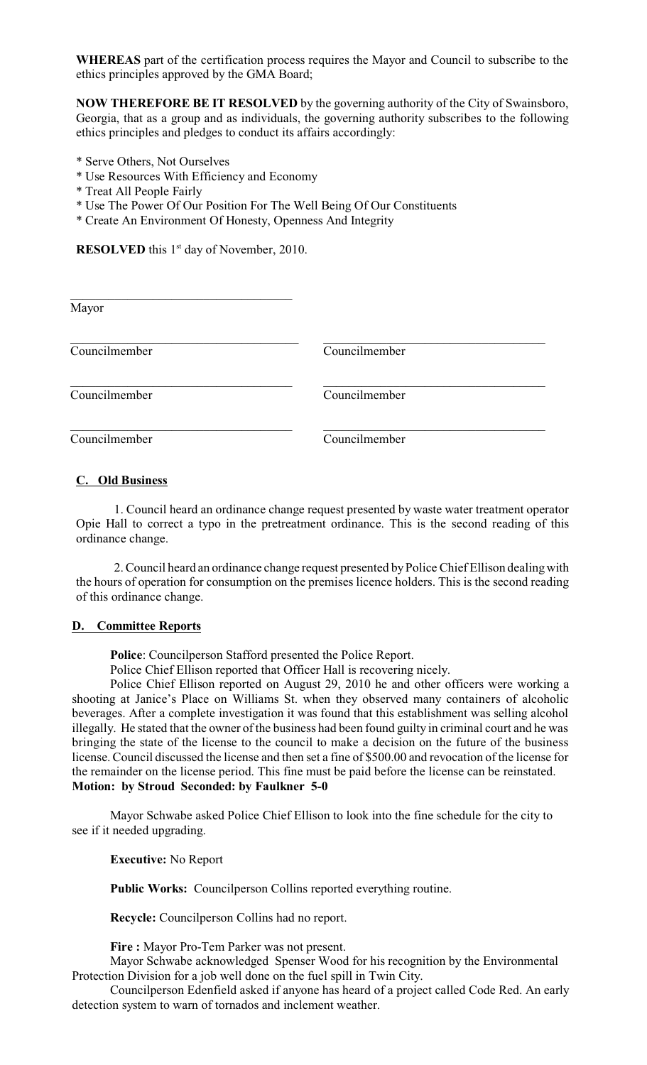**WHEREAS** part of the certification process requires the Mayor and Council to subscribe to the ethics principles approved by the GMA Board;

**NOW THEREFORE BE IT RESOLVED** by the governing authority of the City of Swainsboro, Georgia, that as a group and as individuals, the governing authority subscribes to the following ethics principles and pledges to conduct its affairs accordingly:

- \* Serve Others, Not Ourselves
- \* Use Resources With Efficiency and Economy
- \* Treat All People Fairly
- \* Use The Power Of Our Position For The Well Being Of Our Constituents
- \* Create An Environment Of Honesty, Openness And Integrity

**RESOLVED** this  $1<sup>st</sup>$  day of November, 2010.

| Mayor         |               |  |
|---------------|---------------|--|
|               |               |  |
|               |               |  |
| Councilmember | Councilmember |  |
|               |               |  |
|               |               |  |
| Councilmember | Councilmember |  |
|               |               |  |
|               |               |  |
| Councilmember | Councilmember |  |

# **C. Old Business**

1. Council heard an ordinance change request presented by waste water treatment operator Opie Hall to correct a typo in the pretreatment ordinance. This is the second reading of this ordinance change.

2. Council heard an ordinance change request presented byPolice Chief Ellison dealingwith the hours of operation for consumption on the premises licence holders. This is the second reading of this ordinance change.

#### **D. Committee Reports**

**Police**: Councilperson Stafford presented the Police Report.

Police Chief Ellison reported that Officer Hall is recovering nicely.

Police Chief Ellison reported on August 29, 2010 he and other officers were working a shooting at Janice's Place on Williams St. when they observed many containers of alcoholic beverages. After a complete investigation it was found that this establishment was selling alcohol illegally. He stated that the owner of the business had been found guilty in criminal court and he was bringing the state of the license to the council to make a decision on the future of the business license. Council discussed the license and then set a fine of \$500.00 and revocation of the license for the remainder on the license period. This fine must be paid before the license can be reinstated. **Motion: by Stroud Seconded: by Faulkner 5-0**

Mayor Schwabe asked Police Chief Ellison to look into the fine schedule for the city to see if it needed upgrading.

**Executive:** No Report

**Public Works:** Councilperson Collins reported everything routine.

**Recycle:** Councilperson Collins had no report.

**Fire :** Mayor Pro-Tem Parker was not present.

Mayor Schwabe acknowledged Spenser Wood for his recognition by the Environmental Protection Division for a job well done on the fuel spill in Twin City.

Councilperson Edenfield asked if anyone has heard of a project called Code Red. An early detection system to warn of tornados and inclement weather.